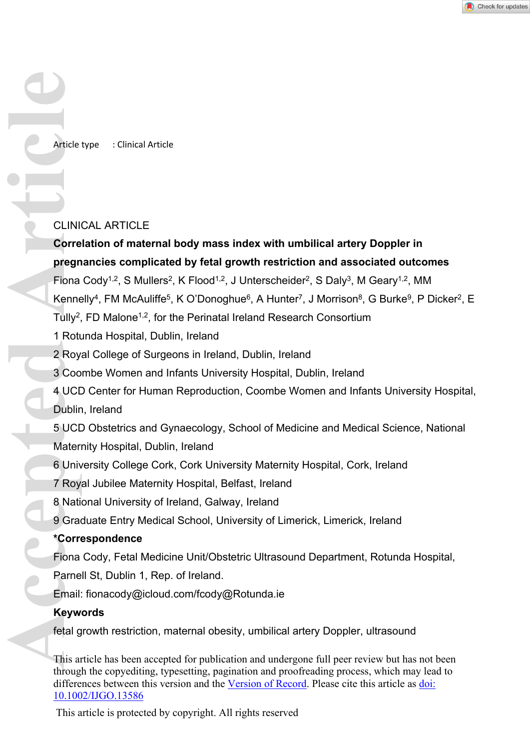Article type : Clinical Article

#### CLINICAL ARTICLE

# **Correlation of maternal body mass index with umbilical artery Doppler in pregnancies complicated by fetal growth restriction and associated outcomes**

Fiona Cody<sup>1,2</sup>, S Mullers<sup>2</sup>, K Flood<sup>1,2</sup>, J Unterscheider<sup>2</sup>, S Daly<sup>3</sup>, M Geary<sup>1,2</sup>, MM

Kennelly<sup>4</sup>, FM McAuliffe<sup>5</sup>, K O'Donoghue<sup>6</sup>, A Hunter<sup>7</sup>, J Morrison<sup>8</sup>, G Burke<sup>9</sup>, P Dicker<sup>2</sup>, E

Tully<sup>2</sup>, FD Malone<sup>1,2</sup>, for the Perinatal Ireland Research Consortium

1 Rotunda Hospital, Dublin, Ireland

2 Royal College of Surgeons in Ireland, Dublin, Ireland

3 Coombe Women and Infants University Hospital, Dublin, Ireland

4 UCD Center for Human Reproduction, Coombe Women and Infants University Hospital, Dublin, Ireland

5 UCD Obstetrics and Gynaecology, School of Medicine and Medical Science, National Maternity Hospital, Dublin, Ireland Article<br>
CLINI<br>
Corre<br>
Pregn<br>
Fiona<br>
Kenne<br>
Tully<sup>2</sup>, 1 Rott<br>
2 Roy<br>
3 Coo<br>
4 UCL<br>
Dublir<br>
5 UCL<br>
Mater<br>
6 Univ<br>
7 Roy<br>
8 Nati<br>
9 Grad<br>
\*Corre<br>
Fiona<br>
7 Roy<br>
8 Nati<br>
9 Grad<br>
\*Corre<br>
Fiona<br>
7 Roy<br>
8 Nati<br>
9 Grad<br>
\*Corre<br>
Fi

6 University College Cork, Cork University Maternity Hospital, Cork, Ireland

7 Royal Jubilee Maternity Hospital, Belfast, Ireland

8 National University of Ireland, Galway, Ireland

9 Graduate Entry Medical School, University of Limerick, Limerick, Ireland

### **\*Correspondence**

Fiona Cody, Fetal Medicine Unit/Obstetric Ultrasound Department, Rotunda Hospital,

Parnell St, Dublin 1, Rep. of Ireland.

Email: fionacody@icloud.com/fcody@Rotunda.ie

#### **Keywords**

fetal growth restriction, maternal obesity, umbilical artery Doppler, ultrasound

This article has been accepted for publication and undergone full peer review but has not been through the copyediting, typesetting, pagination and proofreading process, which may lead to differences between this version and the [Version of Record.](https://doi.org/10.1002/IJGO.13586) Please cite this article as [doi:](https://doi.org/10.1002/IJGO.13586)  [10.1002/IJGO.13586](https://doi.org/10.1002/IJGO.13586)

This article is protected by copyright. All rights reserved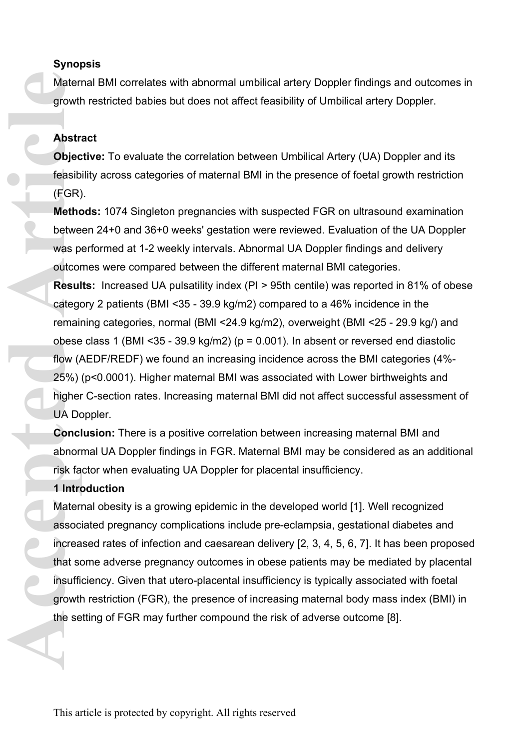## **Synopsis**

Maternal BMI correlates with abnormal umbilical artery Doppler findings and outcomes in growth restricted babies but does not affect feasibility of Umbilical artery Doppler.

### **Abstract**

**Objective:** To evaluate the correlation between Umbilical Artery (UA) Doppler and its feasibility across categories of maternal BMI in the presence of foetal growth restriction (FGR).

**Methods:** 1074 Singleton pregnancies with suspected FGR on ultrasound examination between 24+0 and 36+0 weeks' gestation were reviewed. Evaluation of the UA Doppler was performed at 1-2 weekly intervals. Abnormal UA Doppler findings and delivery outcomes were compared between the different maternal BMI categories.

**Results:** Increased UA pulsatility index (PI > 95th centile) was reported in 81% of obese category 2 patients (BMI <35 - 39.9 kg/m2) compared to a 46% incidence in the remaining categories, normal (BMI <24.9 kg/m2), overweight (BMI <25 - 29.9 kg/) and obese class 1 (BMI <  $35 - 39.9$  kg/m2) ( $p = 0.001$ ). In absent or reversed end diastolic flow (AEDF/REDF) we found an increasing incidence across the BMI categories (4%- 25%) (p<0.0001). Higher maternal BMI was associated with Lower birthweights and higher C-section rates. Increasing maternal BMI did not affect successful assessment of UA Doppler.

**Conclusion:** There is a positive correlation between increasing maternal BMI and abnormal UA Doppler findings in FGR. Maternal BMI may be considered as an additional risk factor when evaluating UA Doppler for placental insufficiency.

### **1 Introduction**

Maternal obesity is a growing epidemic in the developed world [1]. Well recognized associated pregnancy complications include pre-eclampsia, gestational diabetes and increased rates of infection and caesarean delivery [2, 3, 4, 5, 6, 7]. It has been proposed that some adverse pregnancy outcomes in obese patients may be mediated by placental insufficiency. Given that utero-placental insufficiency is typically associated with foetal growth restriction (FGR), the presence of increasing maternal body mass index (BMI) in the setting of FGR may further compound the risk of adverse outcome [8].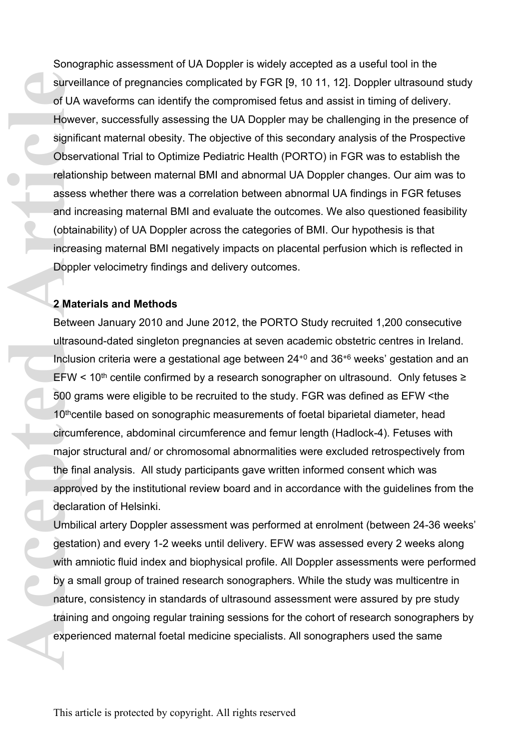Sonographic assessment of UA Doppler is widely accepted as a useful tool in the surveillance of pregnancies complicated by FGR [9, 10 11, 12]. Doppler ultrasound study of UA waveforms can identify the compromised fetus and assist in timing of delivery. However, successfully assessing the UA Doppler may be challenging in the presence of significant maternal obesity. The objective of this secondary analysis of the Prospective Observational Trial to Optimize Pediatric Health (PORTO) in FGR was to establish the relationship between maternal BMI and abnormal UA Doppler changes. Our aim was to assess whether there was a correlation between abnormal UA findings in FGR fetuses and increasing maternal BMI and evaluate the outcomes. We also questioned feasibility (obtainability) of UA Doppler across the categories of BMI. Our hypothesis is that increasing maternal BMI negatively impacts on placental perfusion which is reflected in Doppler velocimetry findings and delivery outcomes. survei<br>
of UA<br>
Howe<br>
signific<br>
Obser<br>
relatio<br>
asses<br>
and in<br>
(obtail<br>
increa<br>
Doppl<br>
2 Mat<br>
Betwe<br>
ultras<<br>
Inclus<br>
EFW 500 gl<br>
10<sup>th</sup>ce<br>
circum<br>
major<br>
the fin<br>
approve<br>
declar<br>
Umbili<br>
gestat<br>
with a<br>
by a s<br>
nature<br>
fi

### **2 Materials and Methods**

Between January 2010 and June 2012, the PORTO Study recruited 1,200 consecutive ultrasound-dated singleton pregnancies at seven academic obstetric centres in Ireland. Inclusion criteria were a gestational age between 24+0 and 36+6 weeks' gestation and an EFW < 10<sup>th</sup> centile confirmed by a research sonographer on ultrasound. Only fetuses  $\ge$ 500 grams were eligible to be recruited to the study. FGR was defined as EFW <the 10<sup>th</sup>centile based on sonographic measurements of foetal biparietal diameter, head circumference, abdominal circumference and femur length (Hadlock-4). Fetuses with major structural and/ or chromosomal abnormalities were excluded retrospectively from the final analysis. All study participants gave written informed consent which was approved by the institutional review board and in accordance with the guidelines from the declaration of Helsinki.

Umbilical artery Doppler assessment was performed at enrolment (between 24-36 weeks' gestation) and every 1-2 weeks until delivery. EFW was assessed every 2 weeks along with amniotic fluid index and biophysical profile. All Doppler assessments were performed by a small group of trained research sonographers. While the study was multicentre in nature, consistency in standards of ultrasound assessment were assured by pre study training and ongoing regular training sessions for the cohort of research sonographers by experienced maternal foetal medicine specialists. All sonographers used the same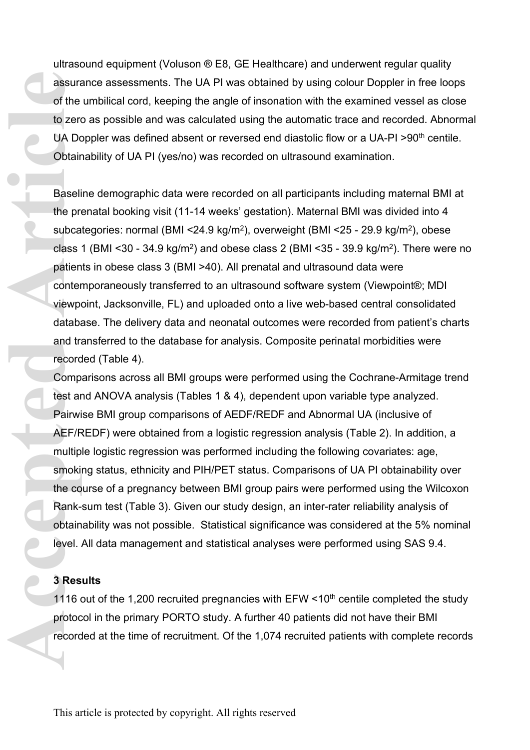ultrasound equipment (Voluson ® E8, GE Healthcare) and underwent regular quality assurance assessments. The UA PI was obtained by using colour Doppler in free loops of the umbilical cord, keeping the angle of insonation with the examined vessel as close to zero as possible and was calculated using the automatic trace and recorded. Abnormal UA Doppler was defined absent or reversed end diastolic flow or a UA-PI >90<sup>th</sup> centile. Obtainability of UA PI (yes/no) was recorded on ultrasound examination.

Baseline demographic data were recorded on all participants including maternal BMI at the prenatal booking visit (11-14 weeks' gestation). Maternal BMI was divided into 4 subcategories: normal (BMI <24.9 kg/m<sup>2</sup> ), overweight (BMI <25 - 29.9 kg/m<sup>2</sup> ), obese class 1 (BMI <30 - 34.9 kg/m<sup>2</sup>) and obese class 2 (BMI <35 - 39.9 kg/m<sup>2</sup>). There were no patients in obese class 3 (BMI >40). All prenatal and ultrasound data were contemporaneously transferred to an ultrasound software system (Viewpoint®; MDI viewpoint, Jacksonville, FL) and uploaded onto a live web-based central consolidated database. The delivery data and neonatal outcomes were recorded from patient's charts and transferred to the database for analysis. Composite perinatal morbidities were recorded (Table 4).

Comparisons across all BMI groups were performed using the Cochrane-Armitage trend test and ANOVA analysis (Tables 1 & 4), dependent upon variable type analyzed. Pairwise BMI group comparisons of AEDF/REDF and Abnormal UA (inclusive of AEF/REDF) were obtained from a logistic regression analysis (Table 2). In addition, a multiple logistic regression was performed including the following covariates: age, smoking status, ethnicity and PIH/PET status. Comparisons of UA PI obtainability over the course of a pregnancy between BMI group pairs were performed using the Wilcoxon Rank-sum test (Table 3). Given our study design, an inter-rater reliability analysis of obtainability was not possible. Statistical significance was considered at the 5% nominal level. All data management and statistical analyses were performed using SAS 9.4. **Access of the to zero UA Do Cobtain**<br> **Access Baseli**<br> **Access Patien conter**<br> **Access Patien conter viewpo**<br> **Access Patien conter viewpo**<br> **Access Patien conter viewpo**<br> **Access Article**<br> **ACCEFIFE**<br> **ACCEFIFE**<br> **ACCEFI** 

### **3 Results**

1116 out of the 1,200 recruited pregnancies with  $EFW < 10<sup>th</sup>$  centile completed the study protocol in the primary PORTO study. A further 40 patients did not have their BMI recorded at the time of recruitment. Of the 1,074 recruited patients with complete records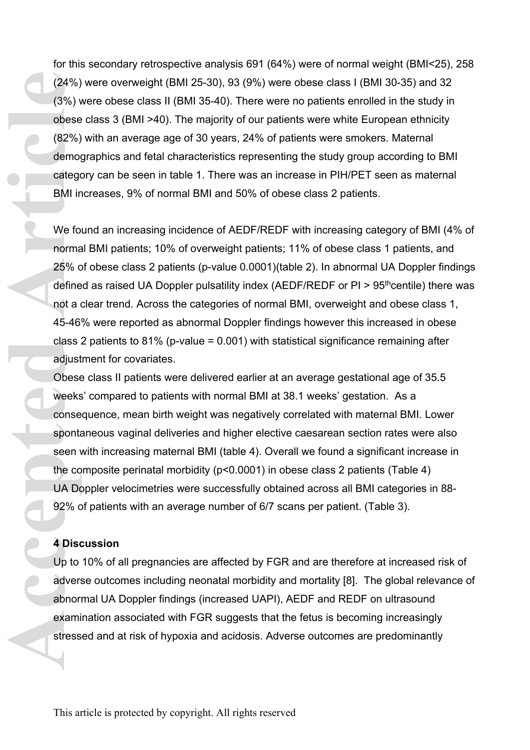for this secondary retrospective analysis 691 (64%) were of normal weight (BMI<25), 258 (24%) were overweight (BMI 25-30), 93 (9%) were obese class I (BMI 30-35) and 32 (3%) were obese class II (BMI 35-40). There were no patients enrolled in the study in obese class 3 (BMI >40). The majority of our patients were white European ethnicity (82%) with an average age of 30 years, 24% of patients were smokers. Maternal demographics and fetal characteristics representing the study group according to BMI category can be seen in table 1. There was an increase in PIH/PET seen as maternal BMI increases, 9% of normal BMI and 50% of obese class 2 patients.

We found an increasing incidence of AEDF/REDF with increasing category of BMI (4% of normal BMI patients; 10% of overweight patients; 11% of obese class 1 patients, and 25% of obese class 2 patients (p-value 0.0001)(table 2). In abnormal UA Doppler findings defined as raised UA Doppler pulsatility index (AEDF/REDF or  $PI > 95<sup>th</sup>$ centile) there was not a clear trend. Across the categories of normal BMI, overweight and obese class 1, 45-46% were reported as abnormal Doppler findings however this increased in obese class 2 patients to 81% (p-value =  $0.001$ ) with statistical significance remaining after adjustment for covariates. (24%)<br>
(3%) v<br>
obese<br>
(82%)<br>
demog<br>
catego<br>
BMI ir<br>
We fo<br>
catego<br>
BMI ir<br>
We fo<br>
norma<br>
25% c<br>
define<br>
not a (45-46'<br>
class :<br>
adjust<br>
Obese weeks<br>
conse<br>
sponts<br>
sen v<br>
the co<br>
DA Disc<br>
4 Disc<br>
4 Disc<br>
4 Disc<br>
4 Disc<br>
4

Obese class II patients were delivered earlier at an average gestational age of 35.5 weeks' compared to patients with normal BMI at 38.1 weeks' gestation. As a consequence, mean birth weight was negatively correlated with maternal BMI. Lower spontaneous vaginal deliveries and higher elective caesarean section rates were also seen with increasing maternal BMI (table 4). Overall we found a significant increase in the composite perinatal morbidity (p<0.0001) in obese class 2 patients (Table 4) UA Doppler velocimetries were successfully obtained across all BMI categories in 88- 92% of patients with an average number of 6/7 scans per patient. (Table 3).

#### **4 Discussion**

Up to 10% of all pregnancies are affected by FGR and are therefore at increased risk of adverse outcomes including neonatal morbidity and mortality [8]. The global relevance of abnormal UA Doppler findings (increased UAPI), AEDF and REDF on ultrasound examination associated with FGR suggests that the fetus is becoming increasingly stressed and at risk of hypoxia and acidosis. Adverse outcomes are predominantly

This article is protected by copyright. All rights reserved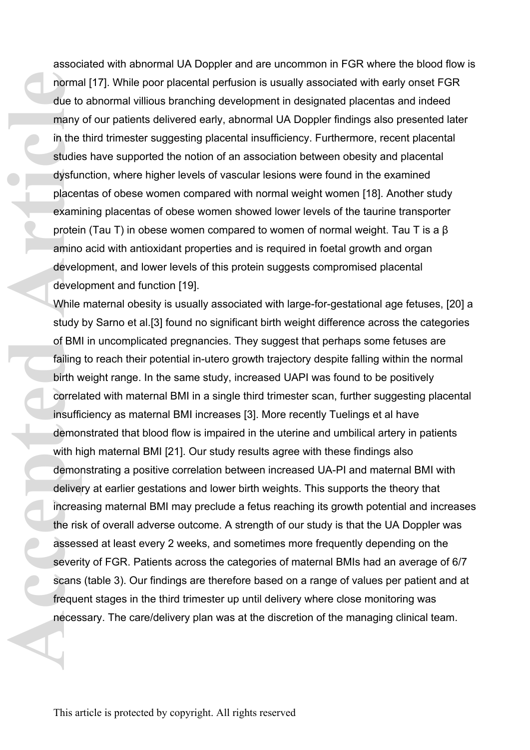associated with abnormal UA Doppler and are uncommon in FGR where the blood flow is normal [17]. While poor placental perfusion is usually associated with early onset FGR due to abnormal villious branching development in designated placentas and indeed many of our patients delivered early, abnormal UA Doppler findings also presented later in the third trimester suggesting placental insufficiency. Furthermore, recent placental studies have supported the notion of an association between obesity and placental dysfunction, where higher levels of vascular lesions were found in the examined placentas of obese women compared with normal weight women [18]. Another study examining placentas of obese women showed lower levels of the taurine transporter protein (Tau T) in obese women compared to women of normal weight. Tau T is a β amino acid with antioxidant properties and is required in foetal growth and organ development, and lower levels of this protein suggests compromised placental development and function [19].

While maternal obesity is usually associated with large-for-gestational age fetuses, [20] a study by Sarno et al.[3] found no significant birth weight difference across the categories of BMI in uncomplicated pregnancies. They suggest that perhaps some fetuses are failing to reach their potential in-utero growth trajectory despite falling within the normal birth weight range. In the same study, increased UAPI was found to be positively correlated with maternal BMI in a single third trimester scan, further suggesting placental insufficiency as maternal BMI increases [3]. More recently Tuelings et al have demonstrated that blood flow is impaired in the uterine and umbilical artery in patients with high maternal BMI [21]. Our study results agree with these findings also demonstrating a positive correlation between increased UA-PI and maternal BMI with delivery at earlier gestations and lower birth weights. This supports the theory that increasing maternal BMI may preclude a fetus reaching its growth potential and increases the risk of overall adverse outcome. A strength of our study is that the UA Doppler was assessed at least every 2 weeks, and sometimes more frequently depending on the severity of FGR. Patients across the categories of maternal BMIs had an average of 6/7 scans (table 3). Our findings are therefore based on a range of values per patient and at frequent stages in the third trimester up until delivery where close monitoring was necessary. The care/delivery plan was at the discretion of the managing clinical team. **Access 1999**<br>
Access 1999<br>
Access 1999<br>
Access 2099<br>
Access 2099<br>
Access 2099<br>
Access 2099<br>
Access 2099<br>
Access 2099<br>
Access 2099<br>
Access 2099<br>
Access 2099<br>
Access 2099<br>
Access 2099<br>
Access 2099<br>
Access 2099<br>
Access 2099<br>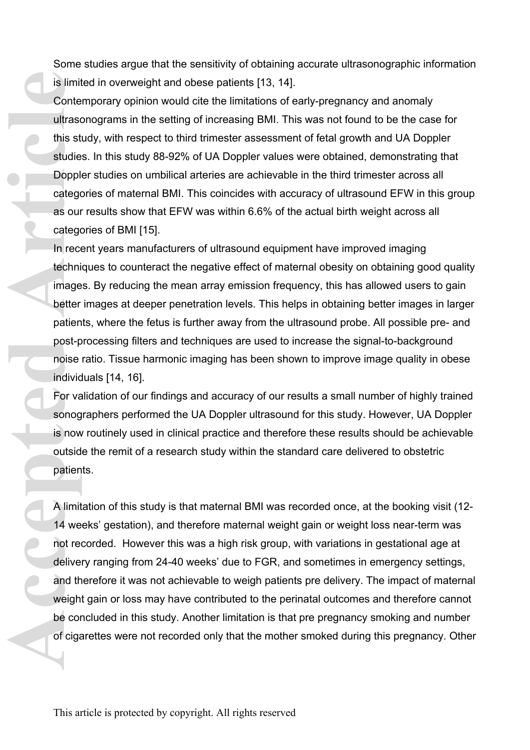Some studies argue that the sensitivity of obtaining accurate ultrasonographic information is limited in overweight and obese patients [13, 14].

Contemporary opinion would cite the limitations of early-pregnancy and anomaly ultrasonograms in the setting of increasing BMI. This was not found to be the case for this study, with respect to third trimester assessment of fetal growth and UA Doppler studies. In this study 88-92% of UA Doppler values were obtained, demonstrating that Doppler studies on umbilical arteries are achievable in the third trimester across all categories of maternal BMI. This coincides with accuracy of ultrasound EFW in this group as our results show that EFW was within 6.6% of the actual birth weight across all categories of BMI [15].

In recent years manufacturers of ultrasound equipment have improved imaging techniques to counteract the negative effect of maternal obesity on obtaining good quality images. By reducing the mean array emission frequency, this has allowed users to gain better images at deeper penetration levels. This helps in obtaining better images in larger patients, where the fetus is further away from the ultrasound probe. All possible pre- and post-processing filters and techniques are used to increase the signal-to-background noise ratio. Tissue harmonic imaging has been shown to improve image quality in obese individuals [14, 16].

For validation of our findings and accuracy of our results a small number of highly trained sonographers performed the UA Doppler ultrasound for this study. However, UA Doppler is now routinely used in clinical practice and therefore these results should be achievable outside the remit of a research study within the standard care delivered to obstetric patients.

A limitation of this study is that maternal BMI was recorded once, at the booking visit (12- 14 weeks' gestation), and therefore maternal weight gain or weight loss near-term was not recorded. However this was a high risk group, with variations in gestational age at delivery ranging from 24-40 weeks' due to FGR, and sometimes in emergency settings, and therefore it was not achievable to weigh patients pre delivery. The impact of maternal weight gain or loss may have contributed to the perinatal outcomes and therefore cannot be concluded in this study. Another limitation is that pre pregnancy smoking and number of cigarettes were not recorded only that the mother smoked during this pregnancy. Other **Access 1999 Transferred Article Contract Contract Contract Contract Contract Contract Contract Contract Contract Contract Contract Contract Contract Contract Contract Contract Contract Contract Contract Contract Contract**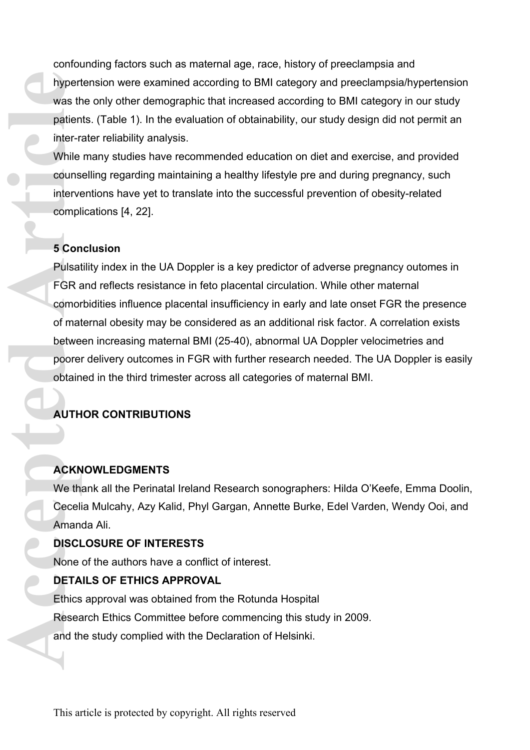confounding factors such as maternal age, race, history of preeclampsia and hypertension were examined according to BMI category and preeclampsia/hypertension was the only other demographic that increased according to BMI category in our study patients. (Table 1). In the evaluation of obtainability, our study design did not permit an inter-rater reliability analysis.

While many studies have recommended education on diet and exercise, and provided counselling regarding maintaining a healthy lifestyle pre and during pregnancy, such interventions have yet to translate into the successful prevention of obesity-related complications [4, 22].

# **5 Conclusion**

Pulsatility index in the UA Doppler is a key predictor of adverse pregnancy outomes in FGR and reflects resistance in feto placental circulation. While other maternal comorbidities influence placental insufficiency in early and late onset FGR the presence of maternal obesity may be considered as an additional risk factor. A correlation exists between increasing maternal BMI (25-40), abnormal UA Doppler velocimetries and poorer delivery outcomes in FGR with further research needed. The UA Doppler is easily obtained in the third trimester across all categories of maternal BMI. **Acception 1999**<br>
Accepted Article<br>
ACCEPTA<br>
ACCEPTA<br>
ACCEPTA<br>
ACCEPTA<br>
ACCEPTA<br>
ACCEPTA<br>
ACCEPTA<br>
ACCEPTA<br>
ACCEPTA<br>
ACCEPTA<br>
ACCEPTA<br>
ACCEPTA<br>
ACCEPTA<br>
ACCEPTA<br>
ACCEPTA<br>
ACCEPTA<br>
ACCEPTA<br>
ACCEPTA<br>
ACCEPTA<br>
ACCEPTA<br>
ACCEPT

# **AUTHOR CONTRIBUTIONS**

# **ACKNOWLEDGMENTS**

We thank all the Perinatal Ireland Research sonographers: Hilda O'Keefe, Emma Doolin, Cecelia Mulcahy, Azy Kalid, Phyl Gargan, Annette Burke, Edel Varden, Wendy Ooi, and Amanda Ali.

# **DISCLOSURE OF INTERESTS**

None of the authors have a conflict of interest.

# **DETAILS OF ETHICS APPROVAL**

Ethics approval was obtained from the Rotunda Hospital Research Ethics Committee before commencing this study in 2009. and the study complied with the Declaration of Helsinki.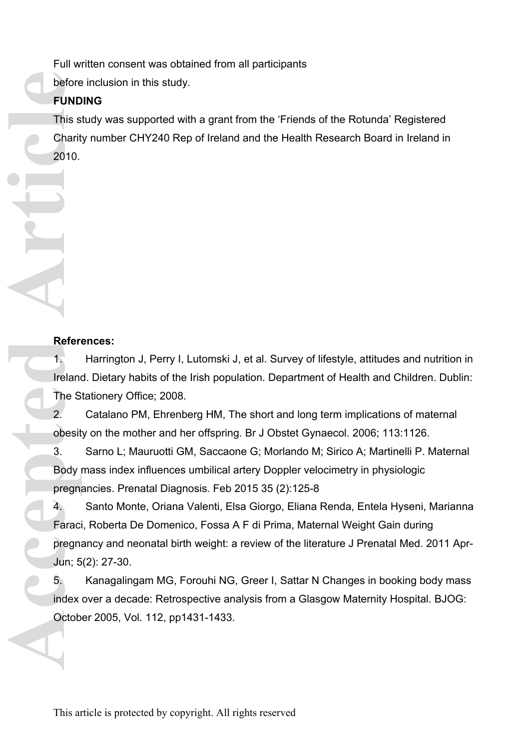Full written consent was obtained from all participants

before inclusion in this study.

# **FUNDING**

This study was supported with a grant from the 'Friends of the Rotunda' Registered Charity number CHY240 Rep of Ireland and the Health Research Board in Ireland in 2010.

# **References:**

1. Harrington J, Perry I, Lutomski J, et al. Survey of lifestyle, attitudes and nutrition in Ireland. Dietary habits of the Irish population. Department of Health and Children. Dublin: The Stationery Office; 2008.

2. Catalano PM, Ehrenberg HM, The short and long term implications of maternal obesity on the mother and her offspring. Br J Obstet Gynaecol. 2006; 113:1126.

3. Sarno L; Mauruotti GM, Saccaone G; Morlando M; Sirico A; Martinelli P. Maternal Body mass index influences umbilical artery Doppler velocimetry in physiologic pregnancies. Prenatal Diagnosis. Feb 2015 35 (2):125-8

4. Santo Monte, Oriana Valenti, Elsa Giorgo, Eliana Renda, Entela Hyseni, Marianna Faraci, Roberta De Domenico, Fossa A F di Prima, Maternal Weight Gain during pregnancy and neonatal birth weight: a review of the literature J Prenatal Med. 2011 Apr-Jun; 5(2): 27-30. **Before**<br> **Accepted Articles**<br>
This s Charit<br>
2010.<br> **Accepted Articles**<br> **Accepted Articles**<br> **Accepted Articles**<br> **Accepted Articles**<br> **Accepted Articles**<br> **Accepted Articles**<br> **Accepted Articles**<br> **Accepted Articles**<br>

5. Kanagalingam MG, Forouhi NG, Greer I, Sattar N Changes in booking body mass index over a decade: Retrospective analysis from a Glasgow Maternity Hospital. BJOG: October 2005, Vol. 112, pp1431-1433.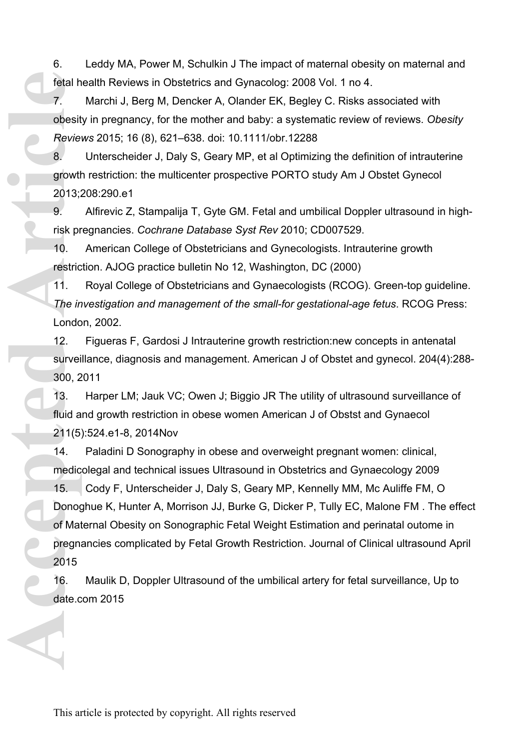6. Leddy MA, Power M, Schulkin J The impact of maternal obesity on maternal and fetal health Reviews in Obstetrics and Gynacolog: 2008 Vol. 1 no 4.

7. Marchi J, Berg M, Dencker A, Olander EK, Begley C. Risks associated with obesity in pregnancy, for the mother and baby: a systematic review of reviews. *Obesity Reviews* 2015; 16 (8), 621–638. doi: 10.1111/obr.12288

8. Unterscheider J, Daly S, Geary MP, et al Optimizing the definition of intrauterine growth restriction: the multicenter prospective PORTO study Am J Obstet Gynecol 2013;208:290.e1

9. Alfirevic Z, Stampalija T, Gyte GM. Fetal and umbilical Doppler ultrasound in highrisk pregnancies. *Cochrane Database Syst Rev* 2010; CD007529.

10. American College of Obstetricians and Gynecologists. Intrauterine growth restriction. AJOG practice bulletin No 12, Washington, DC (2000)

11. Royal College of Obstetricians and Gynaecologists (RCOG). Green-top guideline. *The investigation and management of the small-for gestational-age fetus*. RCOG Press: London, 2002.

12. Figueras F, Gardosi J Intrauterine growth restriction:new concepts in antenatal surveillance, diagnosis and management. American J of Obstet and gynecol. 204(4):288- 300, 2011

13. Harper LM; Jauk VC; Owen J; Biggio JR The utility of ultrasound surveillance of fluid and growth restriction in obese women American J of Obstst and Gynaecol 211(5):524.e1-8, 2014Nov

14. Paladini D Sonography in obese and overweight pregnant women: clinical, medicolegal and technical issues Ultrasound in Obstetrics and Gynaecology 2009

15. Cody F, Unterscheider J, Daly S, Geary MP, Kennelly MM, Mc Auliffe FM, O Donoghue K, Hunter A, Morrison JJ, Burke G, Dicker P, Tully EC, Malone FM . The effect of Maternal Obesity on Sonographic Fetal Weight Estimation and perinatal outome in pregnancies complicated by Fetal Growth Restriction. Journal of Clinical ultrasound April 2015 fetal h<br>
7.<br>
obesit<br>
Revie<br>
8.<br>
growth<br>
2013;<br>
9.<br>
risk pr<br>
10.<br>
restric<br>
11.<br>
The in<br>
Londo<br>
12.<br>
survei<br>
300, 2<br>
13.<br>
fluid a<br>
211(5<br>
14.<br>
fluid a<br>
211(5<br>
14.<br>
2015<br>
66.<br>
2015<br>
16.<br>
2015<br>
16.<br>
2015<br>
16.<br>
2015<br>
16.<br>
2015<br>

16. Maulik D, Doppler Ultrasound of the umbilical artery for fetal surveillance, Up to date.com 2015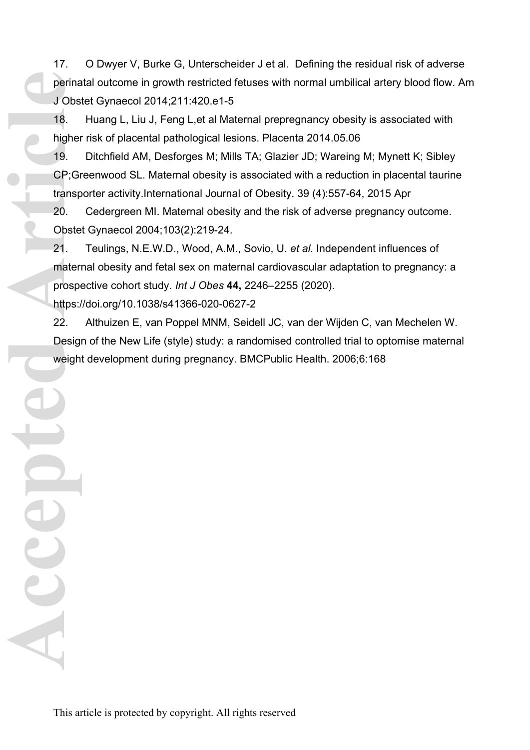17. O Dwyer V, Burke G, Unterscheider J et al. Defining the residual risk of adverse perinatal outcome in growth restricted fetuses with normal umbilical artery blood flow. Am J Obstet Gynaecol 2014;211:420.e1-5

18. Huang L, Liu J, Feng L,et al Maternal prepregnancy obesity is associated with higher risk of placental pathological lesions. Placenta 2014.05.06

19. Ditchfield AM, Desforges M; Mills TA; Glazier JD; Wareing M; Mynett K; Sibley CP;Greenwood SL. Maternal obesity is associated with a reduction in placental taurine transporter activity.International Journal of Obesity. 39 (4):557-64, 2015 Apr

20. Cedergreen MI. Maternal obesity and the risk of adverse pregnancy outcome. Obstet Gynaecol 2004;103(2):219-24.

21. Teulings, N.E.W.D., Wood, A.M., Sovio, U. *et al.* Independent influences of maternal obesity and fetal sex on maternal cardiovascular adaptation to pregnancy: a prospective cohort study. *Int J Obes* **44,** 2246–2255 (2020). **Perina**<br> **Accepted Article**<br> **Accepted Article**<br> **Accepted Articles**<br> **Accepted Articles**<br> **Accepted Articles**<br> **Accepted Articles**<br> **Accepted Articles**<br> **Accepted Articles**<br> **Accepted Articles**<br> **Accepted Articles**<br> **Acc** 

https://doi.org/10.1038/s41366-020-0627-2

22. Althuizen E, van Poppel MNM, Seidell JC, van der Wijden C, van Mechelen W. Design of the New Life (style) study: a randomised controlled trial to optomise maternal weight development during pregnancy. BMCPublic Health. 2006;6:168

This article is protected by copyright. All rights reserved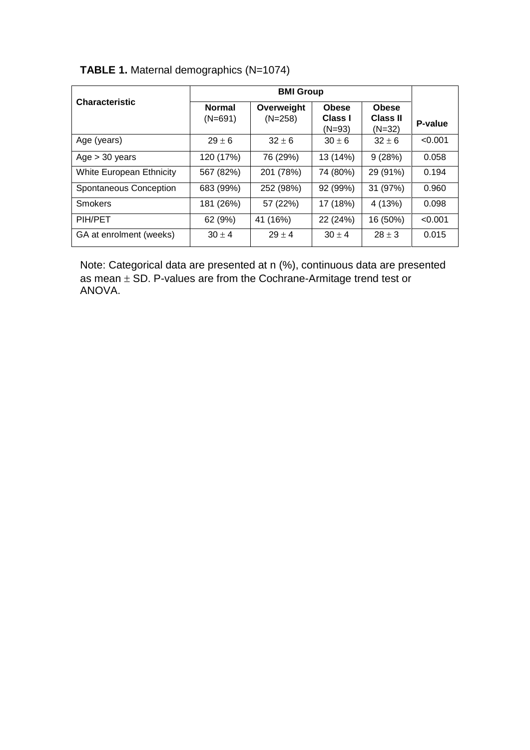|  | TABLE 1. Maternal demographics (N=1074) |  |  |  |
|--|-----------------------------------------|--|--|--|
|--|-----------------------------------------|--|--|--|

|                          | <b>BMI Group</b>           |                         |                                     |                                             |         |
|--------------------------|----------------------------|-------------------------|-------------------------------------|---------------------------------------------|---------|
| <b>Characteristic</b>    | <b>Normal</b><br>$(N=691)$ | Overweight<br>$(N=258)$ | <b>Obese</b><br>Class I<br>$(N=93)$ | <b>Obese</b><br><b>Class II</b><br>$(N=32)$ | P-value |
| Age (years)              | $29 \pm 6$                 | $32 \pm 6$              | $30 \pm 6$                          | $32 \pm 6$                                  | < 0.001 |
| Age > 30 years           | 120 (17%)                  | 76 (29%)                | 13 (14%)                            | 9(28%)                                      | 0.058   |
| White European Ethnicity | 567 (82%)                  | 201 (78%)               | 74 (80%)                            | 29 (91%)                                    | 0.194   |
| Spontaneous Conception   | 683 (99%)                  | 252 (98%)               | 92 (99%)                            | 31 (97%)                                    | 0.960   |
| Smokers                  | 181 (26%)                  | 57 (22%)                | 17 (18%)                            | 4 (13%)                                     | 0.098   |
| PIH/PET                  | 62 (9%)                    | (16%)<br>41             | 22 (24%)                            | 16 (50%)                                    | < 0.001 |
| GA at enrolment (weeks)  | $30 \pm 4$                 | $29 \pm 4$              | $30 \pm 4$                          | $28 \pm 3$                                  | 0.015   |

Note: Categorical data are presented at n (%), continuous data are presented as mean  $\pm$  SD. P-values are from the Cochrane-Armitage trend test or ANOVA.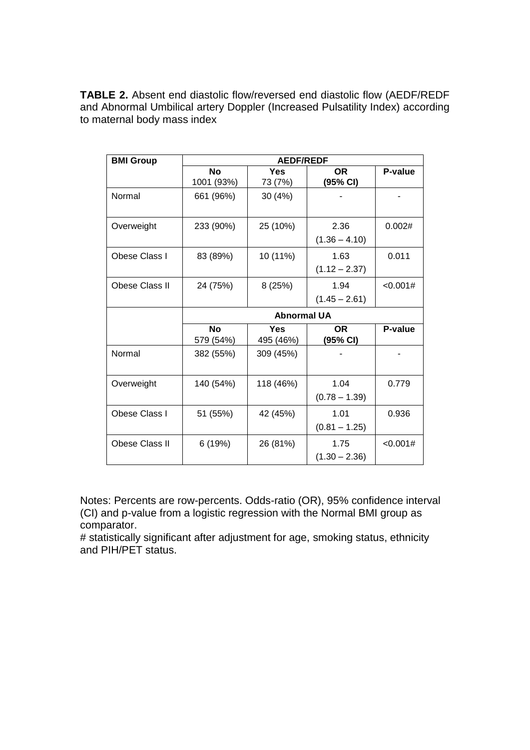**TABLE 2.** Absent end diastolic flow/reversed end diastolic flow (AEDF/REDF and Abnormal Umbilical artery Doppler (Increased Pulsatility Index) according to maternal body mass index

| <b>BMI Group</b>      | <b>AEDF/REDF</b>   |            |                 |          |  |  |
|-----------------------|--------------------|------------|-----------------|----------|--|--|
|                       | <b>No</b>          | <b>Yes</b> | OR.             | P-value  |  |  |
|                       | 1001 (93%)         | 73 (7%)    | (95% CI)        |          |  |  |
| Normal                | 661 (96%)          | 30 (4%)    |                 |          |  |  |
| Overweight            | 233 (90%)          | 25 (10%)   | 2.36            | 0.002#   |  |  |
|                       |                    |            | $(1.36 - 4.10)$ |          |  |  |
| Obese Class I         | 83 (89%)           | 10 (11%)   | 1.63            | 0.011    |  |  |
|                       |                    |            | $(1.12 - 2.37)$ |          |  |  |
| <b>Obese Class II</b> | 24 (75%)           | 8 (25%)    | 1.94            | <0.001#  |  |  |
|                       |                    |            | $(1.45 - 2.61)$ |          |  |  |
|                       | <b>Abnormal UA</b> |            |                 |          |  |  |
|                       | <b>No</b>          | <b>Yes</b> | <b>OR</b>       | P-value  |  |  |
|                       | 579 (54%)          | 495 (46%)  | (95% CI)        |          |  |  |
| Normal                | 382 (55%)          | 309 (45%)  |                 |          |  |  |
| Overweight            | 140 (54%)          | 118 (46%)  | 1.04            | 0.779    |  |  |
|                       |                    |            | $(0.78 - 1.39)$ |          |  |  |
| Obese Class I         | 51 (55%)           | 42 (45%)   | 1.01            | 0.936    |  |  |
|                       |                    |            | $(0.81 - 1.25)$ |          |  |  |
| Obese Class II        | 6(19%)             | 26 (81%)   | 1.75            | < 0.001# |  |  |
|                       |                    |            | $(1.30 - 2.36)$ |          |  |  |

Notes: Percents are row-percents. Odds-ratio (OR), 95% confidence interval (CI) and p-value from a logistic regression with the Normal BMI group as comparator.

# statistically significant after adjustment for age, smoking status, ethnicity and PIH/PET status.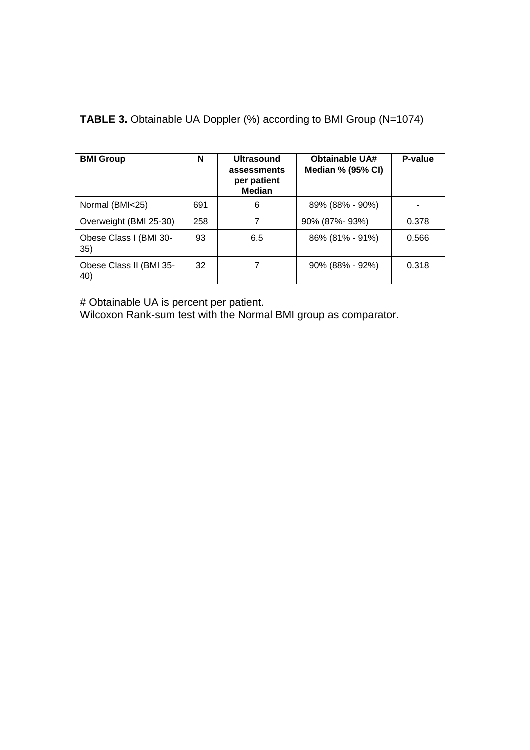| <b>BMI Group</b>               | N   | <b>Ultrasound</b><br>assessments<br>per patient<br><b>Median</b> | <b>Obtainable UA#</b><br>Median % (95% CI) | P-value |
|--------------------------------|-----|------------------------------------------------------------------|--------------------------------------------|---------|
| Normal (BMI<25)                | 691 | 6                                                                | 89% (88% - 90%)                            |         |
| Overweight (BMI 25-30)         | 258 |                                                                  | 90% (87%-93%)                              | 0.378   |
| Obese Class I (BMI 30-<br>35)  | 93  | 6.5                                                              | $86\%$ (81% - 91%)                         | 0.566   |
| Obese Class II (BMI 35-<br>40) | 32  |                                                                  | 90% (88% - 92%)                            | 0.318   |

**TABLE 3.** Obtainable UA Doppler (%) according to BMI Group (N=1074)

# Obtainable UA is percent per patient.

Wilcoxon Rank-sum test with the Normal BMI group as comparator.